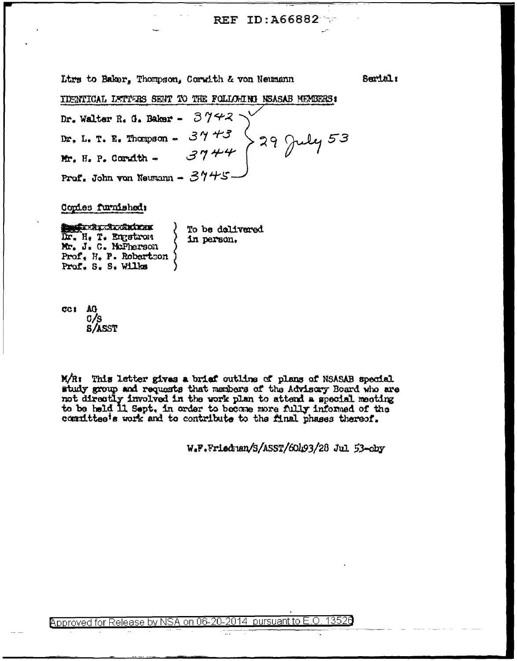## REF ID: A66882

Ltrs to Baker. Thompson, Corwith & von Neumann

Sertal:

IDENTICAL LETTERS SENT TO THE FOLLOWING NEASAB MEMBERS:

 $3742$ Dr. Walter R. G. Baker - $3943$  29 July 53 Dr. L. T. E. Thompson -Mr. H. P. Corwith -Prof. John von Neumann -  $3445$ 

Copies furnished:

**Suferit Stocktock** To be delivered Dr. H. T. Engstrom in person. Mr. J. C. McPherson Prof. H. P. Robertson Prof. S. S. Wilks

CC1 AG 0/s **S/ASST** 

M/R: This letter gives a brief outline of plans of NSASAB special study group and requests that members of the Advisory Board who are not directly involved in the work plan to attend a special meeting to be held 11 Sept. in order to become more fully informed of the committee's work and to contribute to the final phases thereof.

W.F.Friedman/S/ASST/60493/28 Jul 53-cby

Approved for Release by NSA on 06-20-2014 pursuant to E.C